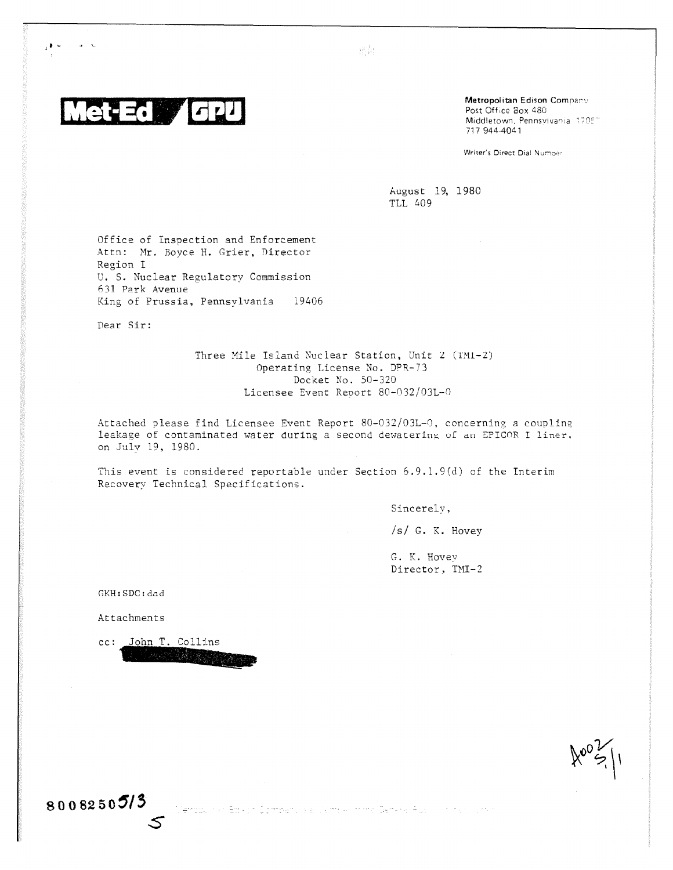

 $_1$  +  $\sim$ 

 $\alpha = \infty$ 

Metropolitan Edison Company Post Office Box 480 Middletown, Pennsylvania 170E<sup>-</sup> 717 944-4041

Writer's Direct Dial Number

August 19, 1980 TLL 409

Office of Inspection and Enforcement Attn: Mr. Boyce H. Grier, Director Region I U. S. Nuclear Regulatory Commission 631 Park Avenue King of Prussia, Pennsylvania 19406

Dear Sir:

Three Mile Island Nuclear Station, Unit 2 (TM1-2) Operating License No. DPR-73 Docket No. 50-320 Licensee Event Report 80-032/03L-0

 $\frac{3}{2}\frac{\dot{\phi}^2}{\dot{\phi}_1} \frac{1}{\dot{\phi}} \frac{1}{\dot{\phi}_1}$ 

Attached please find Licensee Event Report 80-032/03L-0, concerning a counlina. leakage of contaminated water during a second dewatering of an EFICOR I liner. on July 19, 1980.

This event is considered reportable under Section 6.9.1.9(d) of the Interim Recovery Technical Specifications.

Sincerely,

/s/ G. K. Hovey

G. K. Hovev Director, TMI-2

GKH:SDC:dad

Attachments

cc: John T. Collins

5

11111"111111IMIP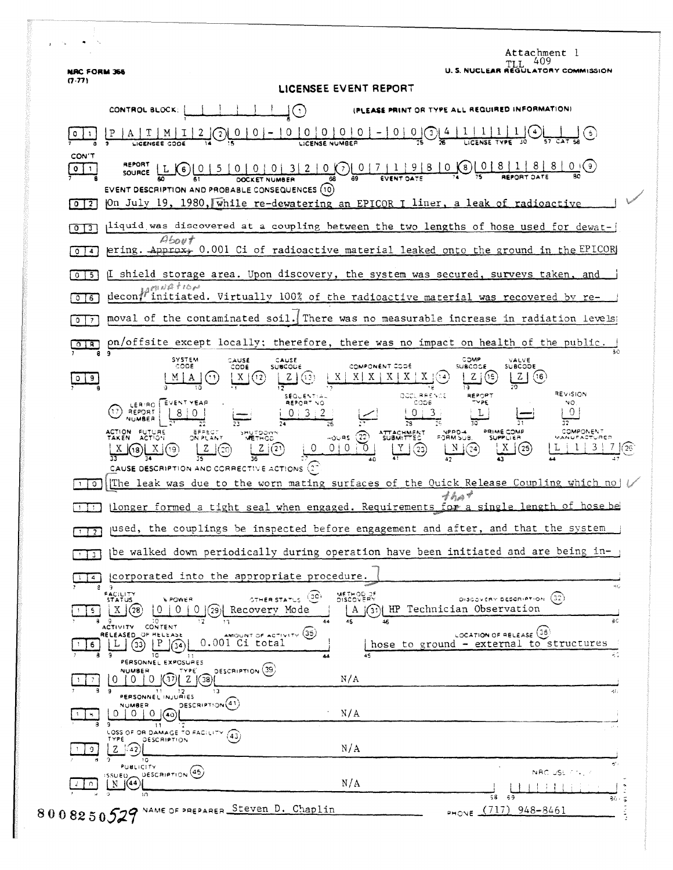| <b>NRC FORM 366</b>          | Attachment 1<br>409<br>TT T<br>U.S. NUCLEAR REGULATORY COMMISSION                                                                                                                                                                                                                                  |
|------------------------------|----------------------------------------------------------------------------------------------------------------------------------------------------------------------------------------------------------------------------------------------------------------------------------------------------|
| (7.77)                       | LICENSEE EVENT REPORT                                                                                                                                                                                                                                                                              |
|                              | IPLEASE PRINT OR TYPE ALL REQUIRED INFORMATIONI<br>CONTROL BLOCK:<br>$\mathcal{A}$                                                                                                                                                                                                                 |
|                              | 00000<br>0 <br>0 (1)<br><b>LICENSE NUMBE</b>                                                                                                                                                                                                                                                       |
| CON'T<br>$0$   1             | REPORT<br>$0   0   0   3   2   0$ (7   0   7   1   9   8   0<br>(8)<br>L (6)<br>SOURCE<br><b>EVENT DATE</b><br><b>DOCKET NUMBER</b><br>EVENT DESCRIPTION AND PROBABLE CONSEQUENCES (10)                                                                                                            |
| 0 <sup>12</sup>              | On July 19, 1980, while re-dewatering an EPICOR I liner, a leak of radioactive                                                                                                                                                                                                                     |
| $0$ $1$                      | liquid was discovered at a coupling between the two lengths of hose used for dewat-<br>About                                                                                                                                                                                                       |
| $\boldsymbol{A}$<br>$\circ$  | ering. Approx+ 0.001 Ci of radioactive material leaked onto the ground in the EPICOR                                                                                                                                                                                                               |
| 5.<br>$\mathbf{O}$           | I shield storage area. Upon discovery, the system was secured, surveys taken, and<br>in Alle Core                                                                                                                                                                                                  |
| $\circ$<br>6                 | initiated. Virtually 100% of the radioactive material was recovered by re-<br>decon1                                                                                                                                                                                                               |
| $^{\circ}$<br>$\overline{7}$ | moval of the contaminated soil. There was no measurable increase in radiation levels                                                                                                                                                                                                               |
| $0$   $8$                    | on/offsite except locally; therefore, there was no impact on health of the public.                                                                                                                                                                                                                 |
| 9.<br>0.                     | соме<br><b>SYSTEM</b><br>CAUSE<br>CAUSE<br>VALVE<br>CODE<br>COMPONENT CODE<br><b>SUBCOCE</b><br><b>SUBCODE</b><br>CODE<br><b>SUBCODE</b><br>X<br>(16<br>X<br>(13)<br>(15<br>X.                                                                                                                     |
|                              | REVISION<br>QODURRENCE<br>REPORT<br><b>SEQUENTIAL</b><br>CODE<br>∾PE<br>NO<br>REPORT NO<br>LEBIRO   EVENT YEAR<br>0<br>REPORT<br>$\Omega$<br>NUMBER                                                                                                                                                |
|                              | COMPONENT<br>PRIME COMP<br><b>ACTION</b><br><b>FUTURE</b><br>NPRD-4<br>ATTACHMENT<br>SHUTDOWN<br>(22)<br>FORM SUB.<br><b>ACTION</b><br>⊸⊜URS<br>SUPPLIER<br>TAKEN<br>ON PLANT<br><b>METHOD</b><br>$\sqrt{0}$<br>0   0<br>(23)<br>(21)<br>Υ<br>(25)<br>CAUSE DESCRIPTION AND CORRECTIVE ACTIONS (27 |
| $\circ$                      | The leak was due to the worn mating surfaces of the Quick Release Coupling which no<br>4 ha                                                                                                                                                                                                        |
|                              | longer formed a tight seal when engaged. Requirements for a single length of hose be                                                                                                                                                                                                               |
| $\overline{2}$               | jused, the couplings be inspected before engagement and after, and that the system                                                                                                                                                                                                                 |
| 3                            | be walked down periodically during operation have been initiated and are being in-                                                                                                                                                                                                                 |
| $\overline{a}$               | corporated into the appropriate procedure.                                                                                                                                                                                                                                                         |
| 5.                           | <b>FACILITY</b><br>STATUS<br>METHOD OF<br>(30)<br>(32)<br><b><i>SPOWER</i></b><br>DISCOVERY DESCRIPTION<br><b>RISTATUS</b><br>$(3i)$ HP Technician Observation<br>Recovery Mode<br>$\overline{0}$<br>0<br>(28)<br>U.<br>(29)I<br>A<br>ЗC<br>44<br>10<br>45<br>46<br>17                             |
| 6                            | CONTENT<br><b>ACTIVITY</b><br>AMOUNT OF ACTIVITY (35)<br>LOCATION OF RELEASE (36)<br>RELEASED_OF HELEASE<br>0.001 Ci total<br>(33)<br>hose to ground - external to structures<br>١C                                                                                                                |
|                              | PERSONNEL EXPOSURES<br>OESCRIPTION (39)<br><b>NUMBER</b><br>TYPE<br>N/A<br>0<br>0<br>0<br>Z<br>.38)<br>13<br>4ti                                                                                                                                                                                   |
|                              | PERSONNEL INJURIES<br>DESCRIPTION <sup>(41)</sup><br>NUMBER<br>N/A<br>$0 \mid (40$<br>0.<br>9<br>$\mathbf{1}$                                                                                                                                                                                      |
| 9                            | LOSS OF OR DAMAGE TO FACILITY<br>(43)<br>TYPE<br><b>DESCRIPTION</b><br>N/A<br>$Z \sim 2$<br>١Q                                                                                                                                                                                                     |
|                              | PUBLICITY<br>NRC USE 774, 7<br>DESCRIPTION <sup>(45)</sup>                                                                                                                                                                                                                                         |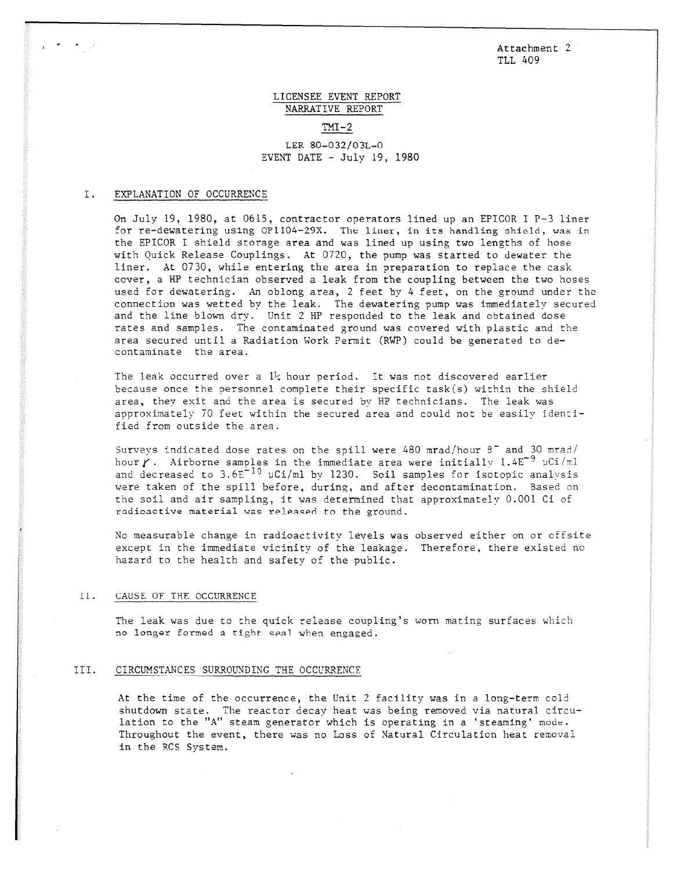Attachment 2 TLL 409

# LICENSEE EVENT REPORT NARRATIVE REPORT  $TM-2$

# LER 80-032/03L-0 EVENT DATE - July 19, 1980

### I. EXPLANATION OF OCCURRENCE

On July 19, 1980, at 0615, contractor operators lined up an EPICOR I P-3 liner for re-dewatering using OP1104-29X. The liner, in its handling shield, was in the EPICOR I shield storage area and was lined up using two lengths of hose with Quick Release Couplings. At 0720, the pump was started to dewater the liner. At 0730, while entering the area in preparation to replace the cask cover, a HP technician observed a leak from the coupling between the two hoses used for dewatering. An oblong area, 2 feet by 4 feet, on the ground under the connection was wetted by the leak. The dewatering pump was immediately secured and the line blown dry. Unit 2 HP responded to the leak and obtained dose rates and samples. The contaminated ground was covered with plastic and the area secured until a Radiation Work Permit (RWP) could be generated to decontaminate the area.

The leak occurred over a  $1\frac{1}{4}$  hour period. It was not discovered earlier because once the personnel complete their specific task(s) within the shield area, they exit and the area is secured by HP technicians. The leak was approximately 70 feet within the secured area and could not be easily identified from outside the area.

Surveys indicated dose rates on the spill were 480 mrad/hour  $\beta^-$  and 30 mrad/ hour  $\gamma$ . Airborne samples in the immediate area were initially 1.4E<sup>-9</sup> uCi/ml and decreased to  $3.6E^{-10}$  µCi/ml by 1230. Soil samples for isotopic analysis were taken of the spill before, during, and after decontamination. Based on the soil and air sampling, it was determined that approximately 0.001 Ci of radioactive material was released to the ground.

No measurable change in radioactivity levels was observed either on or offsite except in the immediate vicinity of the leakage. Therefore, there existed no hazard to the health and safety of the public.

#### $11.$ CAUSE OF THE OCCURRENCE

The leak was due to the quick release coupling's worn mating surfaces which no longer formed a tight seal when engaged.

# III. CIRCUMSTANCES SURROUNDING THE OCCURRENCE

At the time of the occurrence, the Unit 2 facility was in a long-term cold shutdown state. The reactor decay heat was being removed via natural circulation to the "A" steam generator which is operating in a 'steaming' mode. Throughout the event, there was no Loss of Natural Circulation heat removal in the RCS System.